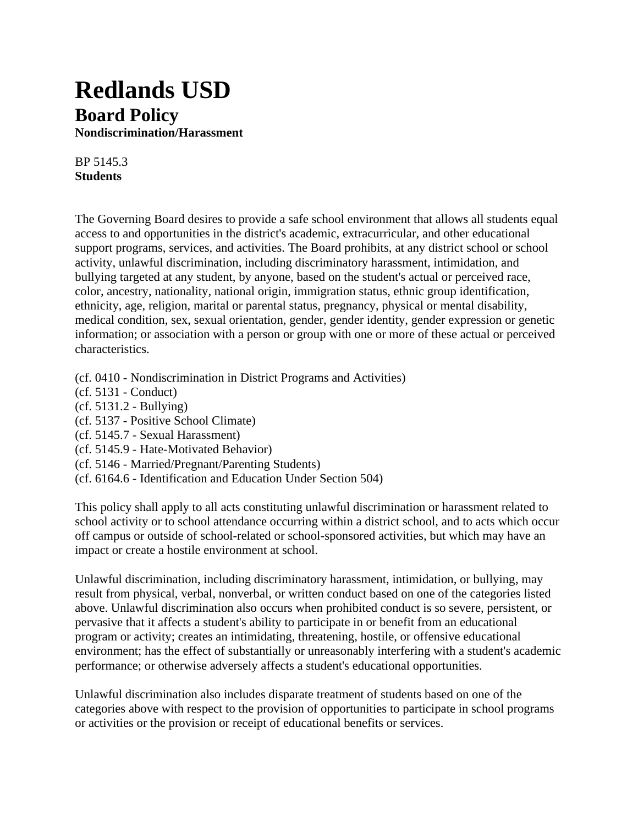## **Redlands USD Board Policy Nondiscrimination/Harassment**

BP 5145.3 **Students**

The Governing Board desires to provide a safe school environment that allows all students equal access to and opportunities in the district's academic, extracurricular, and other educational support programs, services, and activities. The Board prohibits, at any district school or school activity, unlawful discrimination, including discriminatory harassment, intimidation, and bullying targeted at any student, by anyone, based on the student's actual or perceived race, color, ancestry, nationality, national origin, immigration status, ethnic group identification, ethnicity, age, religion, marital or parental status, pregnancy, physical or mental disability, medical condition, sex, sexual orientation, gender, gender identity, gender expression or genetic information; or association with a person or group with one or more of these actual or perceived characteristics.

- (cf. 0410 Nondiscrimination in District Programs and Activities)
- (cf. 5131 Conduct)
- (cf. 5131.2 Bullying)
- (cf. 5137 Positive School Climate)
- (cf. 5145.7 Sexual Harassment)
- (cf. 5145.9 Hate-Motivated Behavior)
- (cf. 5146 Married/Pregnant/Parenting Students)
- (cf. 6164.6 Identification and Education Under Section 504)

This policy shall apply to all acts constituting unlawful discrimination or harassment related to school activity or to school attendance occurring within a district school, and to acts which occur off campus or outside of school-related or school-sponsored activities, but which may have an impact or create a hostile environment at school.

Unlawful discrimination, including discriminatory harassment, intimidation, or bullying, may result from physical, verbal, nonverbal, or written conduct based on one of the categories listed above. Unlawful discrimination also occurs when prohibited conduct is so severe, persistent, or pervasive that it affects a student's ability to participate in or benefit from an educational program or activity; creates an intimidating, threatening, hostile, or offensive educational environment; has the effect of substantially or unreasonably interfering with a student's academic performance; or otherwise adversely affects a student's educational opportunities.

Unlawful discrimination also includes disparate treatment of students based on one of the categories above with respect to the provision of opportunities to participate in school programs or activities or the provision or receipt of educational benefits or services.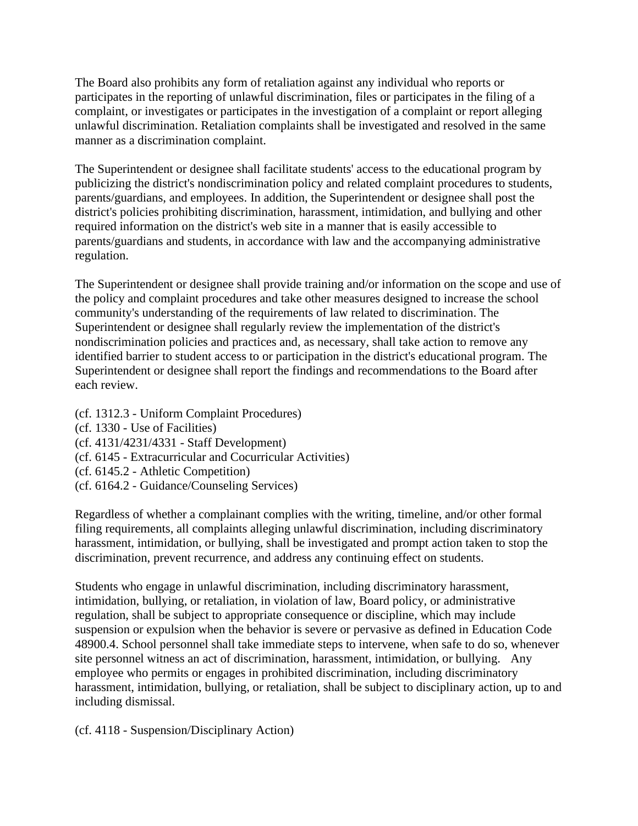The Board also prohibits any form of retaliation against any individual who reports or participates in the reporting of unlawful discrimination, files or participates in the filing of a complaint, or investigates or participates in the investigation of a complaint or report alleging unlawful discrimination. Retaliation complaints shall be investigated and resolved in the same manner as a discrimination complaint.

The Superintendent or designee shall facilitate students' access to the educational program by publicizing the district's nondiscrimination policy and related complaint procedures to students, parents/guardians, and employees. In addition, the Superintendent or designee shall post the district's policies prohibiting discrimination, harassment, intimidation, and bullying and other required information on the district's web site in a manner that is easily accessible to parents/guardians and students, in accordance with law and the accompanying administrative regulation.

The Superintendent or designee shall provide training and/or information on the scope and use of the policy and complaint procedures and take other measures designed to increase the school community's understanding of the requirements of law related to discrimination. The Superintendent or designee shall regularly review the implementation of the district's nondiscrimination policies and practices and, as necessary, shall take action to remove any identified barrier to student access to or participation in the district's educational program. The Superintendent or designee shall report the findings and recommendations to the Board after each review.

(cf. 1312.3 - Uniform Complaint Procedures)

- (cf. 1330 Use of Facilities)
- (cf. 4131/4231/4331 Staff Development)
- (cf. 6145 Extracurricular and Cocurricular Activities)
- (cf. 6145.2 Athletic Competition)
- (cf. 6164.2 Guidance/Counseling Services)

Regardless of whether a complainant complies with the writing, timeline, and/or other formal filing requirements, all complaints alleging unlawful discrimination, including discriminatory harassment, intimidation, or bullying, shall be investigated and prompt action taken to stop the discrimination, prevent recurrence, and address any continuing effect on students.

Students who engage in unlawful discrimination, including discriminatory harassment, intimidation, bullying, or retaliation, in violation of law, Board policy, or administrative regulation, shall be subject to appropriate consequence or discipline, which may include suspension or expulsion when the behavior is severe or pervasive as defined in Education Code 48900.4. School personnel shall take immediate steps to intervene, when safe to do so, whenever site personnel witness an act of discrimination, harassment, intimidation, or bullying. Any employee who permits or engages in prohibited discrimination, including discriminatory harassment, intimidation, bullying, or retaliation, shall be subject to disciplinary action, up to and including dismissal.

(cf. 4118 - Suspension/Disciplinary Action)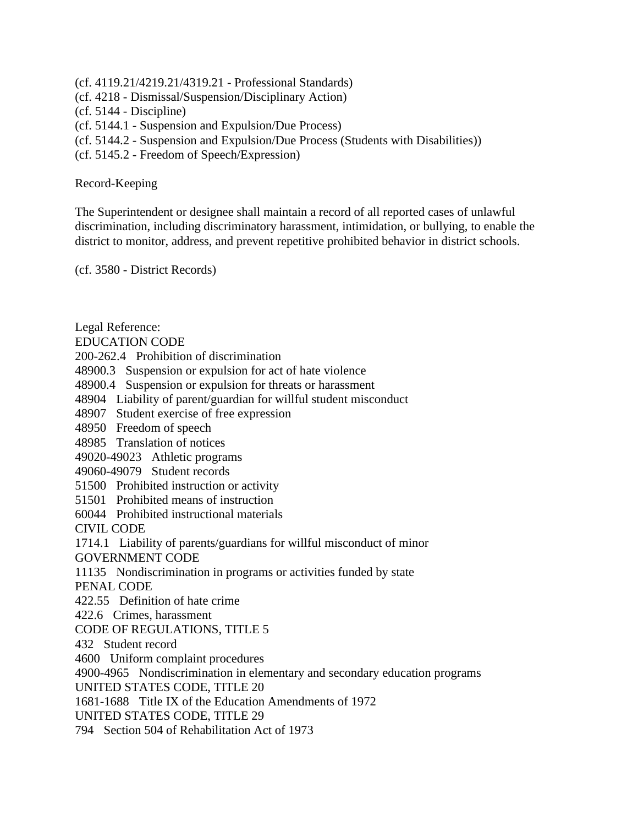- (cf. 4119.21/4219.21/4319.21 Professional Standards)
- (cf. 4218 Dismissal/Suspension/Disciplinary Action)
- (cf. 5144 Discipline)
- (cf. 5144.1 Suspension and Expulsion/Due Process)
- (cf. 5144.2 Suspension and Expulsion/Due Process (Students with Disabilities))
- (cf. 5145.2 Freedom of Speech/Expression)

## Record-Keeping

The Superintendent or designee shall maintain a record of all reported cases of unlawful discrimination, including discriminatory harassment, intimidation, or bullying, to enable the district to monitor, address, and prevent repetitive prohibited behavior in district schools.

(cf. 3580 - District Records)

Legal Reference: EDUCATION CODE 200-262.4 Prohibition of discrimination 48900.3 Suspension or expulsion for act of hate violence 48900.4 Suspension or expulsion for threats or harassment 48904 Liability of parent/guardian for willful student misconduct 48907 Student exercise of free expression 48950 Freedom of speech 48985 Translation of notices 49020-49023 Athletic programs 49060-49079 Student records 51500 Prohibited instruction or activity 51501 Prohibited means of instruction 60044 Prohibited instructional materials CIVIL CODE 1714.1 Liability of parents/guardians for willful misconduct of minor GOVERNMENT CODE 11135 Nondiscrimination in programs or activities funded by state PENAL CODE 422.55 Definition of hate crime 422.6 Crimes, harassment CODE OF REGULATIONS, TITLE 5 432 Student record 4600 Uniform complaint procedures 4900-4965 Nondiscrimination in elementary and secondary education programs UNITED STATES CODE, TITLE 20 1681-1688 Title IX of the Education Amendments of 1972 UNITED STATES CODE, TITLE 29 794 Section 504 of Rehabilitation Act of 1973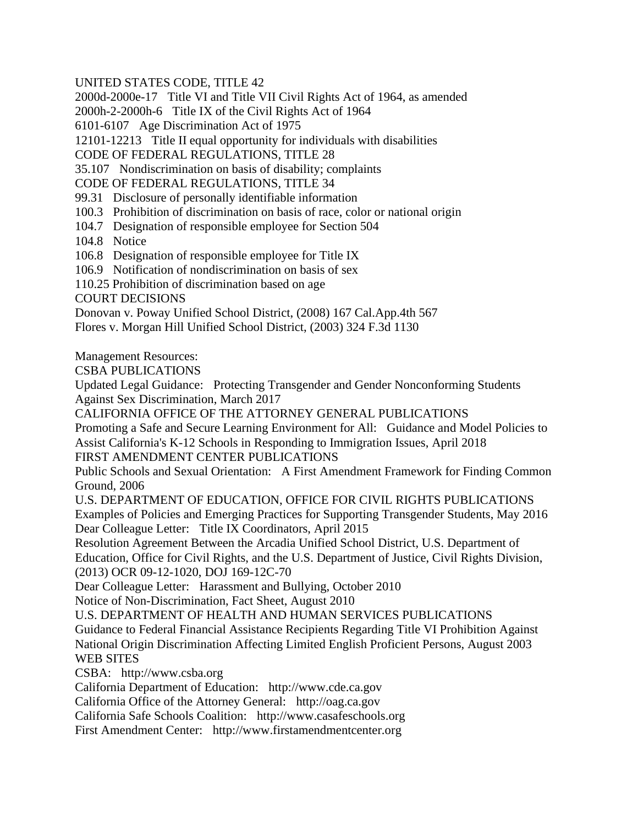UNITED STATES CODE, TITLE 42

2000d-2000e-17 Title VI and Title VII Civil Rights Act of 1964, as amended

2000h-2-2000h-6 Title IX of the Civil Rights Act of 1964

6101-6107 Age Discrimination Act of 1975

12101-12213 Title II equal opportunity for individuals with disabilities

CODE OF FEDERAL REGULATIONS, TITLE 28

35.107 Nondiscrimination on basis of disability; complaints

CODE OF FEDERAL REGULATIONS, TITLE 34

99.31 Disclosure of personally identifiable information

- 100.3 Prohibition of discrimination on basis of race, color or national origin
- 104.7 Designation of responsible employee for Section 504
- 104.8 Notice

106.8 Designation of responsible employee for Title IX

106.9 Notification of nondiscrimination on basis of sex

110.25 Prohibition of discrimination based on age

COURT DECISIONS

Donovan v. Poway Unified School District, (2008) 167 Cal.App.4th 567

Flores v. Morgan Hill Unified School District, (2003) 324 F.3d 1130

Management Resources:

CSBA PUBLICATIONS

Updated Legal Guidance: Protecting Transgender and Gender Nonconforming Students Against Sex Discrimination, March 2017

CALIFORNIA OFFICE OF THE ATTORNEY GENERAL PUBLICATIONS

Promoting a Safe and Secure Learning Environment for All: Guidance and Model Policies to Assist California's K-12 Schools in Responding to Immigration Issues, April 2018

FIRST AMENDMENT CENTER PUBLICATIONS

Public Schools and Sexual Orientation: A First Amendment Framework for Finding Common Ground, 2006

U.S. DEPARTMENT OF EDUCATION, OFFICE FOR CIVIL RIGHTS PUBLICATIONS Examples of Policies and Emerging Practices for Supporting Transgender Students, May 2016 Dear Colleague Letter: Title IX Coordinators, April 2015

Resolution Agreement Between the Arcadia Unified School District, U.S. Department of Education, Office for Civil Rights, and the U.S. Department of Justice, Civil Rights Division, (2013) OCR 09-12-1020, DOJ 169-12C-70

Dear Colleague Letter: Harassment and Bullying, October 2010

Notice of Non-Discrimination, Fact Sheet, August 2010

U.S. DEPARTMENT OF HEALTH AND HUMAN SERVICES PUBLICATIONS

Guidance to Federal Financial Assistance Recipients Regarding Title VI Prohibition Against National Origin Discrimination Affecting Limited English Proficient Persons, August 2003 WEB SITES

CSBA: http://www.csba.org

California Department of Education: http://www.cde.ca.gov

California Office of the Attorney General: http://oag.ca.gov

California Safe Schools Coalition: http://www.casafeschools.org

First Amendment Center: http://www.firstamendmentcenter.org